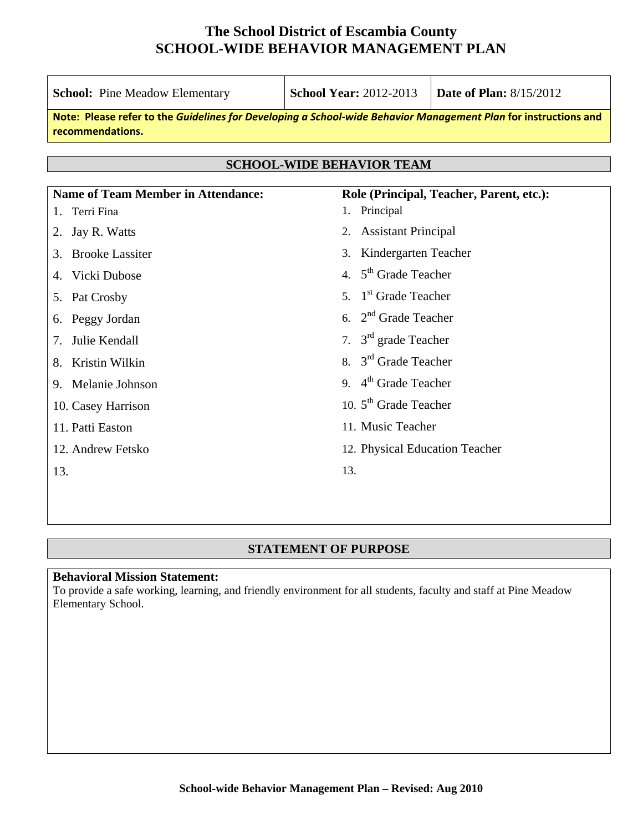| <b>School:</b> Pine Meadow Elementary                                                                                               | <b>School Year: 2012-2013</b>                            | <b>Date of Plan: 8/15/2012</b> |  |  |
|-------------------------------------------------------------------------------------------------------------------------------------|----------------------------------------------------------|--------------------------------|--|--|
| Note: Please refer to the Guidelines for Developing a School-wide Behavior Management Plan for instructions and<br>recommendations. |                                                          |                                |  |  |
| <b>SCHOOL-WIDE BEHAVIOR TEAM</b>                                                                                                    |                                                          |                                |  |  |
|                                                                                                                                     |                                                          |                                |  |  |
| <b>Name of Team Member in Attendance:</b><br>Terri Fina<br>1.                                                                       | Role (Principal, Teacher, Parent, etc.):<br>1. Principal |                                |  |  |
| Jay R. Watts                                                                                                                        | <b>Assistant Principal</b><br>2.                         |                                |  |  |
| <b>Brooke Lassiter</b><br>3.                                                                                                        | Kindergarten Teacher<br>3.                               |                                |  |  |
| Vicki Dubose<br>4.                                                                                                                  | 4. $5th$ Grade Teacher                                   |                                |  |  |
| Pat Crosby<br>5.                                                                                                                    | 5. $1st$ Grade Teacher                                   |                                |  |  |
| Peggy Jordan<br>6.                                                                                                                  | 6. $2nd$ Grade Teacher                                   |                                |  |  |
| Julie Kendall<br>7.                                                                                                                 | 7. $3rd$ grade Teacher                                   |                                |  |  |
| Kristin Wilkin<br>8.                                                                                                                | 8. 3 <sup>rd</sup> Grade Teacher                         |                                |  |  |
| 9. Melanie Johnson                                                                                                                  | 9. $4th$ Grade Teacher                                   |                                |  |  |
| 10. Casey Harrison                                                                                                                  | 10. $5th$ Grade Teacher                                  |                                |  |  |
| 11. Patti Easton                                                                                                                    | 11. Music Teacher                                        |                                |  |  |
| 12. Andrew Fetsko                                                                                                                   | 12. Physical Education Teacher                           |                                |  |  |
| 13.                                                                                                                                 | 13.                                                      |                                |  |  |
|                                                                                                                                     |                                                          |                                |  |  |

#### **STATEMENT OF PURPOSE**

#### **Behavioral Mission Statement:**

To provide a safe working, learning, and friendly environment for all students, faculty and staff at Pine Meadow Elementary School.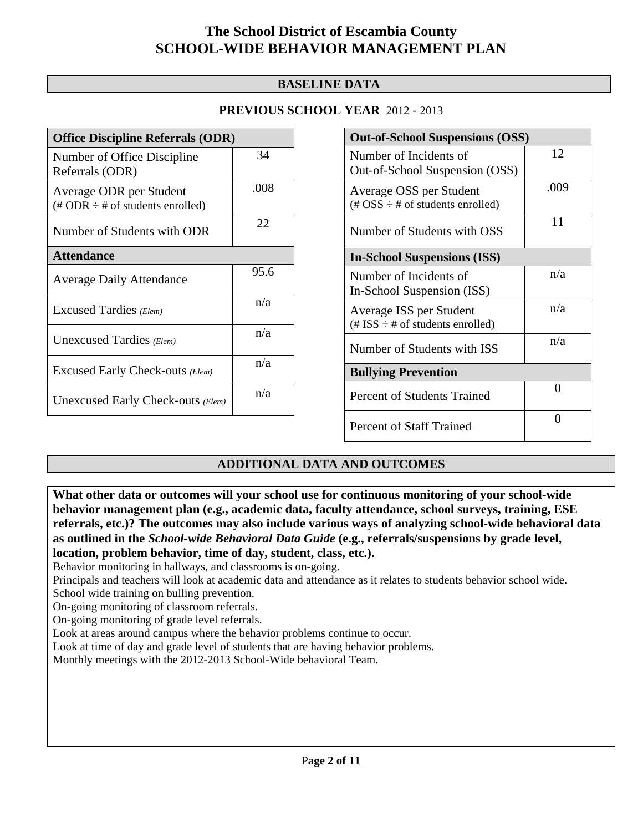#### **BASELINE DATA**

#### **PREVIOUS SCHOOL YEAR** 2012 - 2013

| <b>Office Discipline Referrals (ODR)</b>                                         |      |  |
|----------------------------------------------------------------------------------|------|--|
| Number of Office Discipline<br>Referrals (ODR)                                   | 34   |  |
| Average ODR per Student<br>$(\text{\# ODR} \div \text{\# of students enrolled})$ | .008 |  |
| Number of Students with ODR                                                      | 22   |  |
| <b>Attendance</b>                                                                |      |  |
| <b>Average Daily Attendance</b>                                                  | 95.6 |  |
| Excused Tardies (Elem)                                                           | n/a  |  |
| Unexcused Tardies (Elem)                                                         | n/a  |  |
| Excused Early Check-outs (Elem)                                                  | n/a  |  |
| Unexcused Early Check-outs (Elem)                                                | n/a  |  |

| <b>Out-of-School Suspensions (OSS)</b>                                                          |      |  |
|-------------------------------------------------------------------------------------------------|------|--|
| Number of Incidents of                                                                          | 12   |  |
| Out-of-School Suspension (OSS)                                                                  |      |  |
| Average OSS per Student<br>$(\text{\#} \text{OSS} \div \text{\#} \text{ of students enrolled})$ | .009 |  |
|                                                                                                 |      |  |
| Number of Students with OSS                                                                     | 11   |  |
| <b>In-School Suspensions (ISS)</b>                                                              |      |  |
| Number of Incidents of                                                                          | n/a  |  |
| In-School Suspension (ISS)                                                                      |      |  |
| Average ISS per Student                                                                         | n/a  |  |
| $(\# ISS \div \# of students enrolled)$                                                         |      |  |
| Number of Students with ISS                                                                     | n/a  |  |
| <b>Bullying Prevention</b>                                                                      |      |  |
| Percent of Students Trained                                                                     | 0    |  |
| <b>Percent of Staff Trained</b>                                                                 | ∩    |  |

#### **ADDITIONAL DATA AND OUTCOMES**

**What other data or outcomes will your school use for continuous monitoring of your school-wide behavior management plan (e.g., academic data, faculty attendance, school surveys, training, ESE referrals, etc.)? The outcomes may also include various ways of analyzing school-wide behavioral data as outlined in the** *School-wide Behavioral Data Guide* **(e.g., referrals/suspensions by grade level, location, problem behavior, time of day, student, class, etc.).**

Behavior monitoring in hallways, and classrooms is on-going.

Principals and teachers will look at academic data and attendance as it relates to students behavior school wide. School wide training on bulling prevention.

On-going monitoring of classroom referrals.

On-going monitoring of grade level referrals.

Look at areas around campus where the behavior problems continue to occur.

Look at time of day and grade level of students that are having behavior problems.

Monthly meetings with the 2012-2013 School-Wide behavioral Team.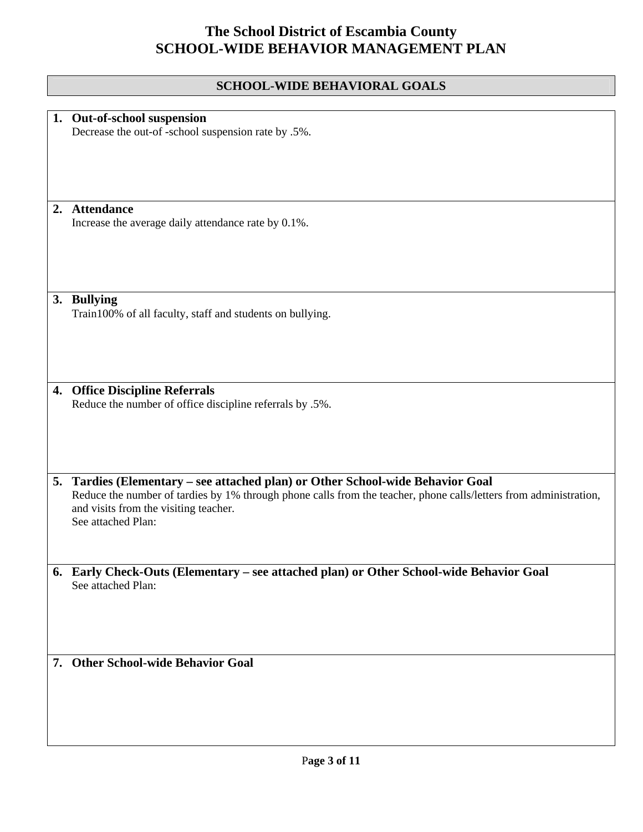## **SCHOOL-WIDE BEHAVIORAL GOALS**

| 1. Out-of-school suspension                                                                                       |
|-------------------------------------------------------------------------------------------------------------------|
| Decrease the out-of-school suspension rate by .5%.                                                                |
|                                                                                                                   |
|                                                                                                                   |
|                                                                                                                   |
|                                                                                                                   |
| 2. Attendance                                                                                                     |
| Increase the average daily attendance rate by 0.1%.                                                               |
|                                                                                                                   |
|                                                                                                                   |
|                                                                                                                   |
|                                                                                                                   |
| 3. Bullying                                                                                                       |
| Train100% of all faculty, staff and students on bullying.                                                         |
|                                                                                                                   |
|                                                                                                                   |
|                                                                                                                   |
|                                                                                                                   |
| 4. Office Discipline Referrals                                                                                    |
| Reduce the number of office discipline referrals by .5%.                                                          |
|                                                                                                                   |
|                                                                                                                   |
|                                                                                                                   |
|                                                                                                                   |
| 5. Tardies (Elementary – see attached plan) or Other School-wide Behavior Goal                                    |
| Reduce the number of tardies by 1% through phone calls from the teacher, phone calls/letters from administration, |
| and visits from the visiting teacher.<br>See attached Plan:                                                       |
|                                                                                                                   |
|                                                                                                                   |
|                                                                                                                   |
| 6. Early Check-Outs (Elementary - see attached plan) or Other School-wide Behavior Goal                           |
| See attached Plan:                                                                                                |
|                                                                                                                   |
|                                                                                                                   |
|                                                                                                                   |
|                                                                                                                   |
| 7. Other School-wide Behavior Goal                                                                                |
|                                                                                                                   |
|                                                                                                                   |
|                                                                                                                   |
|                                                                                                                   |
|                                                                                                                   |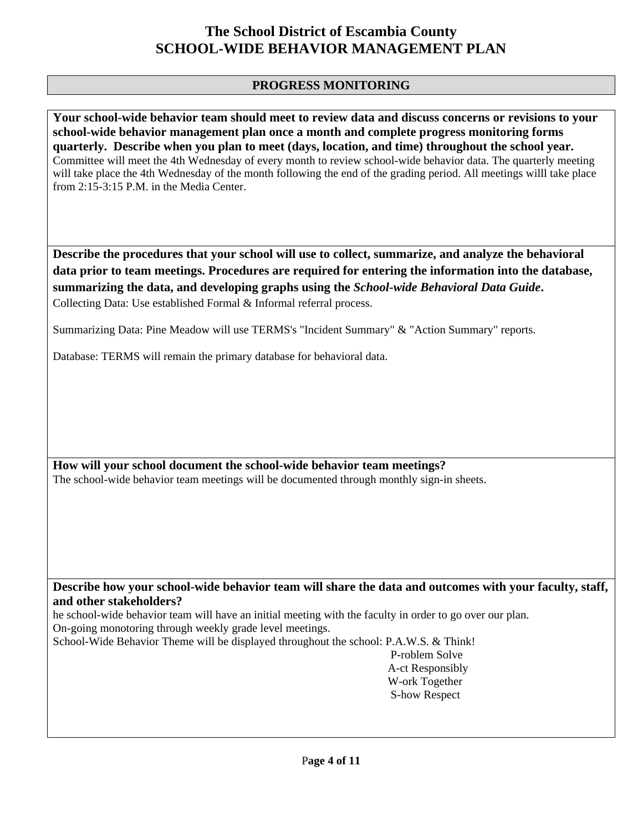#### **PROGRESS MONITORING**

**Your school-wide behavior team should meet to review data and discuss concerns or revisions to your school-wide behavior management plan once a month and complete progress monitoring forms quarterly. Describe when you plan to meet (days, location, and time) throughout the school year.**  Committee will meet the 4th Wednesday of every month to review school-wide behavior data. The quarterly meeting will take place the 4th Wednesday of the month following the end of the grading period. All meetings willl take place from 2:15-3:15 P.M. in the Media Center.

**Describe the procedures that your school will use to collect, summarize, and analyze the behavioral data prior to team meetings. Procedures are required for entering the information into the database, summarizing the data, and developing graphs using the** *School-wide Behavioral Data Guide***.**  Collecting Data: Use established Formal & Informal referral process.

Summarizing Data: Pine Meadow will use TERMS's "Incident Summary" & "Action Summary" reports.

Database: TERMS will remain the primary database for behavioral data.

**How will your school document the school-wide behavior team meetings?** The school-wide behavior team meetings will be documented through monthly sign-in sheets.

**Describe how your school-wide behavior team will share the data and outcomes with your faculty, staff, and other stakeholders?** 

he school-wide behavior team will have an initial meeting with the faculty in order to go over our plan. On-going monotoring through weekly grade level meetings.

School-Wide Behavior Theme will be displayed throughout the school: P.A.W.S. & Think!

 P-roblem Solve A-ct Responsibly W-ork Together S-how Respect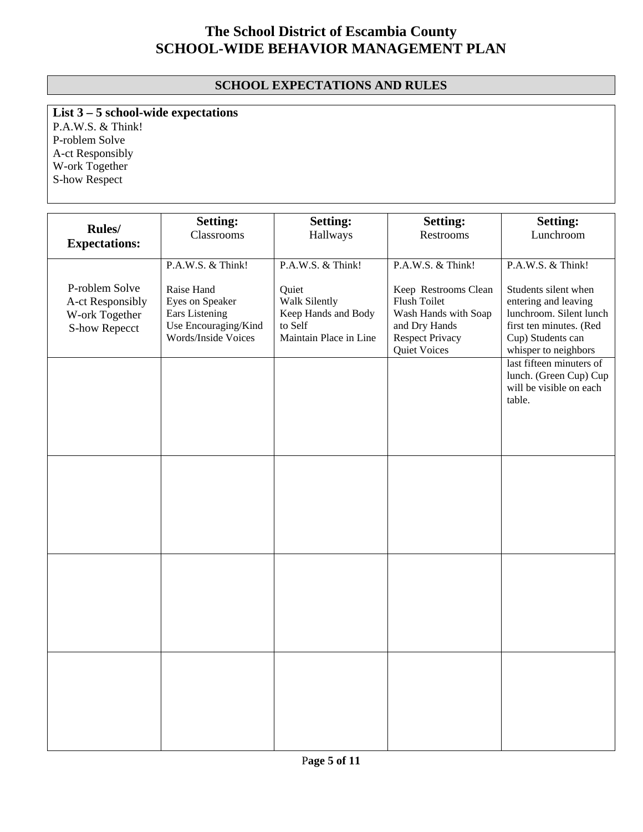### **SCHOOL EXPECTATIONS AND RULES**

**List 3 – 5 school-wide expectations**

P.A.W.S. & Think! P-roblem Solve A-ct Responsibly W-ork Together S-how Respect

|                                                                              | <b>Setting:</b>                                                                                | <b>Setting:</b>                                                                    | <b>Setting:</b>                                                                                                         | <b>Setting:</b>                                                                                                                                 |
|------------------------------------------------------------------------------|------------------------------------------------------------------------------------------------|------------------------------------------------------------------------------------|-------------------------------------------------------------------------------------------------------------------------|-------------------------------------------------------------------------------------------------------------------------------------------------|
| <b>Rules</b> /<br><b>Expectations:</b>                                       | Classrooms                                                                                     | Hallways                                                                           | Restrooms                                                                                                               | Lunchroom                                                                                                                                       |
|                                                                              |                                                                                                |                                                                                    |                                                                                                                         |                                                                                                                                                 |
|                                                                              | P.A.W.S. & Think!                                                                              | P.A.W.S. & Think!                                                                  | P.A.W.S. & Think!                                                                                                       | P.A.W.S. & Think!                                                                                                                               |
| P-roblem Solve<br>A-ct Responsibly<br>W-ork Together<br><b>S-how Repecct</b> | Raise Hand<br>Eyes on Speaker<br>Ears Listening<br>Use Encouraging/Kind<br>Words/Inside Voices | Quiet<br>Walk Silently<br>Keep Hands and Body<br>to Self<br>Maintain Place in Line | Keep Restrooms Clean<br>Flush Toilet<br>Wash Hands with Soap<br>and Dry Hands<br><b>Respect Privacy</b><br>Quiet Voices | Students silent when<br>entering and leaving<br>lunchroom. Silent lunch<br>first ten minutes. (Red<br>Cup) Students can<br>whisper to neighbors |
|                                                                              |                                                                                                |                                                                                    |                                                                                                                         | last fifteen minuters of<br>lunch. (Green Cup) Cup<br>will be visible on each<br>table.                                                         |
|                                                                              |                                                                                                |                                                                                    |                                                                                                                         |                                                                                                                                                 |
|                                                                              |                                                                                                |                                                                                    |                                                                                                                         |                                                                                                                                                 |
|                                                                              |                                                                                                |                                                                                    |                                                                                                                         |                                                                                                                                                 |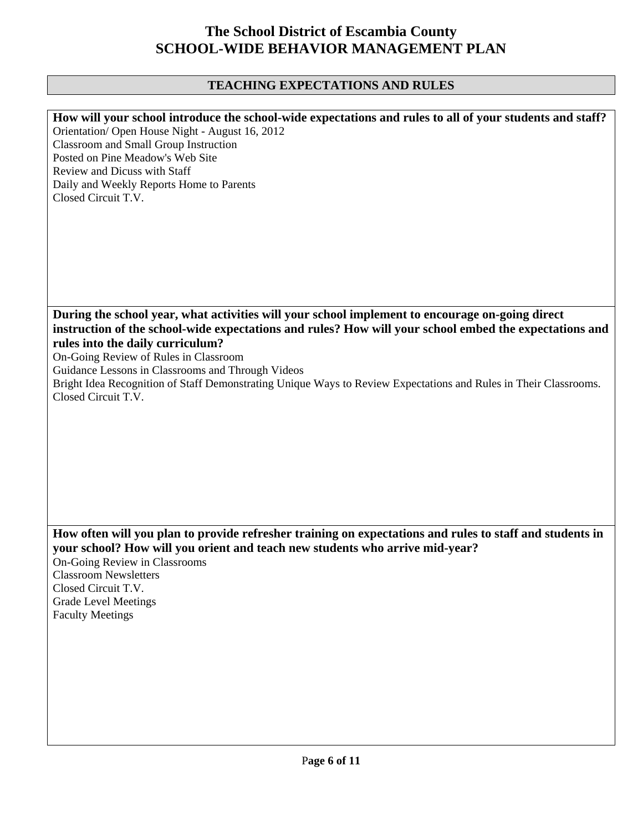## **TEACHING EXPECTATIONS AND RULES**

| How will your school introduce the school-wide expectations and rules to all of your students and staff?<br>Orientation/ Open House Night - August 16, 2012<br><b>Classroom and Small Group Instruction</b><br>Posted on Pine Meadow's Web Site<br>Review and Dicuss with Staff<br>Daily and Weekly Reports Home to Parents<br>Closed Circuit T.V.                                                                                                              |
|-----------------------------------------------------------------------------------------------------------------------------------------------------------------------------------------------------------------------------------------------------------------------------------------------------------------------------------------------------------------------------------------------------------------------------------------------------------------|
| During the school year, what activities will your school implement to encourage on-going direct<br>instruction of the school-wide expectations and rules? How will your school embed the expectations and<br>rules into the daily curriculum?<br>On-Going Review of Rules in Classroom<br>Guidance Lessons in Classrooms and Through Videos<br>Bright Idea Recognition of Staff Demonstrating Unique Ways to Review Expectations and Rules in Their Classrooms. |
| Closed Circuit T.V.                                                                                                                                                                                                                                                                                                                                                                                                                                             |
| How often will you plan to provide refresher training on expectations and rules to staff and students in<br>your school? How will you orient and teach new students who arrive mid-year?<br>On-Going Review in Classrooms<br><b>Classroom Newsletters</b><br>Closed Circuit T.V.<br><b>Grade Level Meetings</b><br><b>Faculty Meetings</b>                                                                                                                      |
|                                                                                                                                                                                                                                                                                                                                                                                                                                                                 |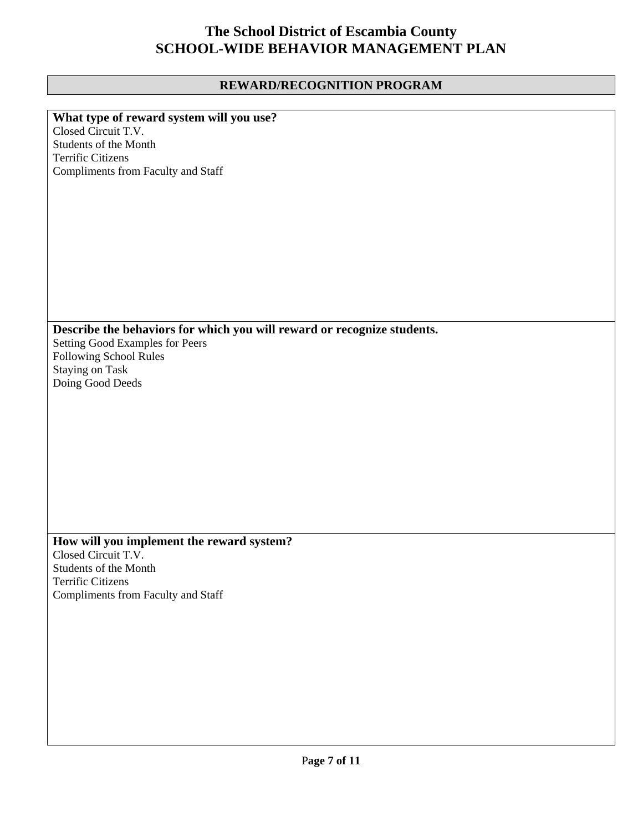## **REWARD/RECOGNITION PROGRAM**

| What type of reward system will you use?                                |
|-------------------------------------------------------------------------|
| Closed Circuit T.V.                                                     |
| Students of the Month                                                   |
| <b>Terrific Citizens</b>                                                |
| Compliments from Faculty and Staff                                      |
|                                                                         |
|                                                                         |
|                                                                         |
|                                                                         |
|                                                                         |
|                                                                         |
|                                                                         |
|                                                                         |
|                                                                         |
|                                                                         |
|                                                                         |
|                                                                         |
| Describe the behaviors for which you will reward or recognize students. |
| Setting Good Examples for Peers                                         |
| Following School Rules                                                  |
| Staying on Task                                                         |
| Doing Good Deeds                                                        |
|                                                                         |
|                                                                         |
|                                                                         |
|                                                                         |
|                                                                         |
|                                                                         |
|                                                                         |
|                                                                         |
|                                                                         |
|                                                                         |
|                                                                         |
|                                                                         |
| How will you implement the reward system?                               |
| Closed Circuit T.V.                                                     |
| Students of the Month                                                   |
| Terrific Citizens                                                       |
| Compliments from Faculty and Staff                                      |
|                                                                         |
|                                                                         |
|                                                                         |
|                                                                         |
|                                                                         |
|                                                                         |
|                                                                         |
|                                                                         |
|                                                                         |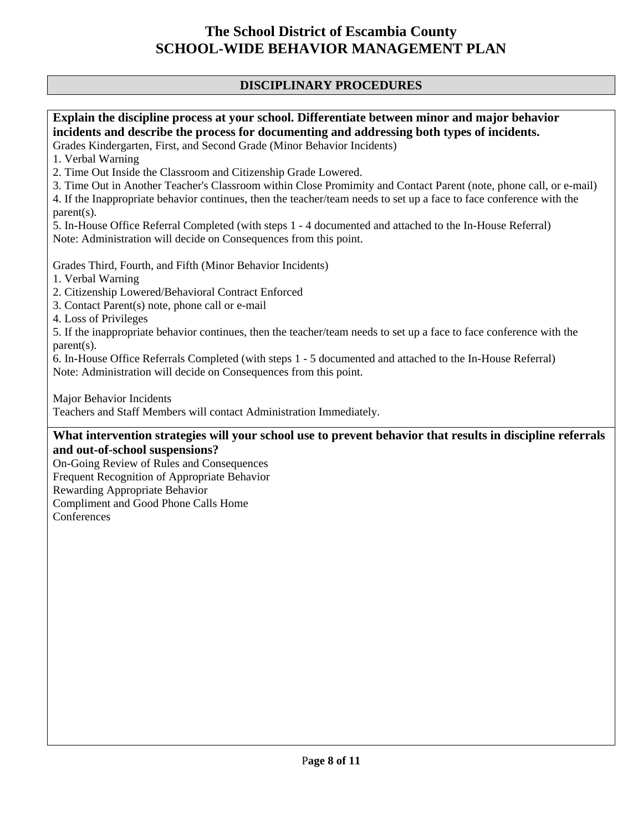### **DISCIPLINARY PROCEDURES**

### **Explain the discipline process at your school. Differentiate between minor and major behavior incidents and describe the process for documenting and addressing both types of incidents.**

Grades Kindergarten, First, and Second Grade (Minor Behavior Incidents)

1. Verbal Warning

2. Time Out Inside the Classroom and Citizenship Grade Lowered.

3. Time Out in Another Teacher's Classroom within Close Promimity and Contact Parent (note, phone call, or e-mail)

4. If the Inappropriate behavior continues, then the teacher/team needs to set up a face to face conference with the parent(s).

5. In-House Office Referral Completed (with steps 1 - 4 documented and attached to the In-House Referral) Note: Administration will decide on Consequences from this point.

Grades Third, Fourth, and Fifth (Minor Behavior Incidents)

1. Verbal Warning

2. Citizenship Lowered/Behavioral Contract Enforced

3. Contact Parent(s) note, phone call or e-mail

4. Loss of Privileges

5. If the inappropriate behavior continues, then the teacher/team needs to set up a face to face conference with the parent(s).

6. In-House Office Referrals Completed (with steps 1 - 5 documented and attached to the In-House Referral) Note: Administration will decide on Consequences from this point.

Major Behavior Incidents

Teachers and Staff Members will contact Administration Immediately.

#### **What intervention strategies will your school use to prevent behavior that results in discipline referrals and out-of-school suspensions?**

On-Going Review of Rules and Consequences Frequent Recognition of Appropriate Behavior Rewarding Appropriate Behavior Compliment and Good Phone Calls Home **Conferences**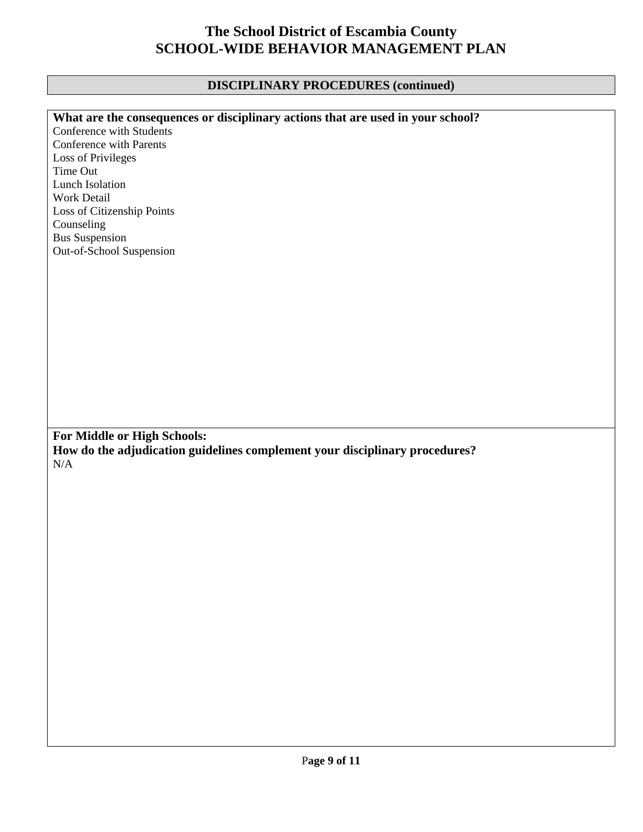## **DISCIPLINARY PROCEDURES (continued)**

| What are the consequences or disciplinary actions that are used in your school? |
|---------------------------------------------------------------------------------|
| Conference with Students                                                        |
| Conference with Parents                                                         |
| Loss of Privileges                                                              |
| Time Out                                                                        |
| <b>Lunch Isolation</b>                                                          |
| Work Detail                                                                     |
| Loss of Citizenship Points                                                      |
| Counseling                                                                      |
| <b>Bus Suspension</b>                                                           |
| Out-of-School Suspension                                                        |
|                                                                                 |
|                                                                                 |
|                                                                                 |
|                                                                                 |
|                                                                                 |
|                                                                                 |
|                                                                                 |
|                                                                                 |
|                                                                                 |
|                                                                                 |
|                                                                                 |
|                                                                                 |
|                                                                                 |
|                                                                                 |
| For Middle or High Schools:                                                     |
| How do the adjudication guidelines complement your disciplinary procedures?     |
| $\rm N/A$                                                                       |
|                                                                                 |
|                                                                                 |
|                                                                                 |
|                                                                                 |
|                                                                                 |
|                                                                                 |
|                                                                                 |
|                                                                                 |
|                                                                                 |
|                                                                                 |
|                                                                                 |
|                                                                                 |
|                                                                                 |
|                                                                                 |
|                                                                                 |
|                                                                                 |
|                                                                                 |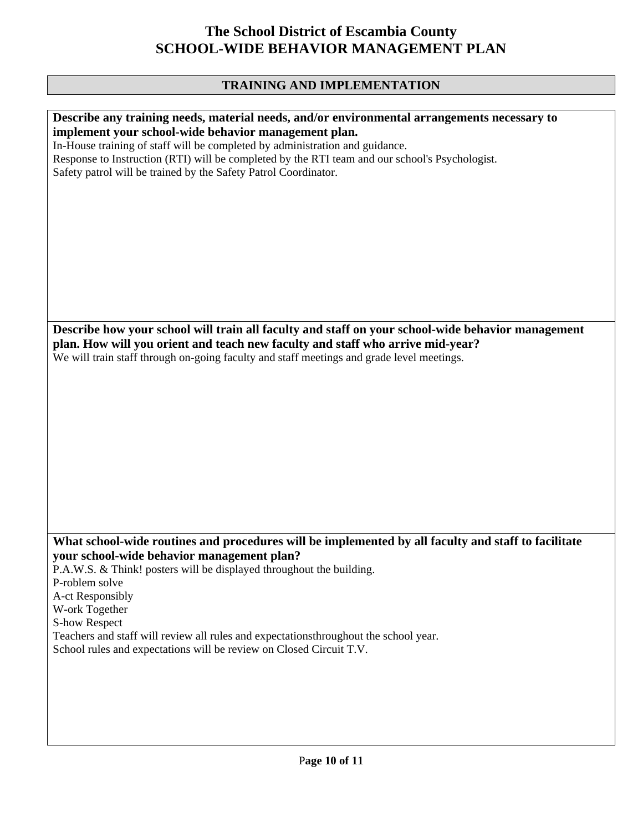## **TRAINING AND IMPLEMENTATION**

| Describe any training needs, material needs, and/or environmental arrangements necessary to         |
|-----------------------------------------------------------------------------------------------------|
| implement your school-wide behavior management plan.                                                |
| In-House training of staff will be completed by administration and guidance.                        |
| Response to Instruction (RTI) will be completed by the RTI team and our school's Psychologist.      |
|                                                                                                     |
| Safety patrol will be trained by the Safety Patrol Coordinator.                                     |
|                                                                                                     |
|                                                                                                     |
|                                                                                                     |
|                                                                                                     |
|                                                                                                     |
|                                                                                                     |
|                                                                                                     |
|                                                                                                     |
|                                                                                                     |
|                                                                                                     |
|                                                                                                     |
|                                                                                                     |
|                                                                                                     |
| Describe how your school will train all faculty and staff on your school-wide behavior management   |
|                                                                                                     |
| plan. How will you orient and teach new faculty and staff who arrive mid-year?                      |
| We will train staff through on-going faculty and staff meetings and grade level meetings.           |
|                                                                                                     |
|                                                                                                     |
|                                                                                                     |
|                                                                                                     |
|                                                                                                     |
|                                                                                                     |
|                                                                                                     |
|                                                                                                     |
|                                                                                                     |
|                                                                                                     |
|                                                                                                     |
|                                                                                                     |
|                                                                                                     |
|                                                                                                     |
|                                                                                                     |
|                                                                                                     |
| What school-wide routines and procedures will be implemented by all faculty and staff to facilitate |
| your school-wide behavior management plan?                                                          |
|                                                                                                     |
| P.A.W.S. & Think! posters will be displayed throughout the building.                                |
| P-roblem solve                                                                                      |
| A-ct Responsibly                                                                                    |
| W-ork Together                                                                                      |
|                                                                                                     |
| <b>S-how Respect</b>                                                                                |
| Teachers and staff will review all rules and expectationsthroughout the school year.                |
| School rules and expectations will be review on Closed Circuit T.V.                                 |
|                                                                                                     |
|                                                                                                     |
|                                                                                                     |
|                                                                                                     |
|                                                                                                     |
|                                                                                                     |
|                                                                                                     |
|                                                                                                     |